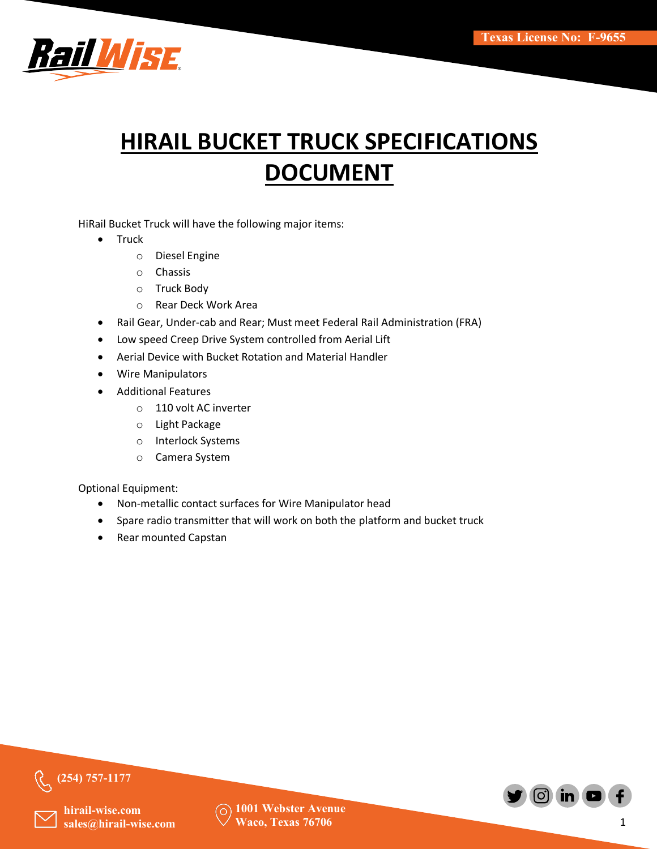

# **HIRAIL BUCKET TRUCK SPECIFICATIONS DOCUMENT**

HiRail Bucket Truck will have the following major items:

- Truck
	- o Diesel Engine
	- o Chassis
	- o Truck Body
	- o Rear Deck Work Area
- Rail Gear, Under-cab and Rear; Must meet Federal Rail Administration (FRA)
- Low speed Creep Drive System controlled from Aerial Lift
- Aerial Device with Bucket Rotation and Material Handler
- Wire Manipulators
- Additional Features
	- o 110 volt AC inverter
	- o Light Package
	- o Interlock Systems
	- o Camera System

Optional Equipment:

- Non-metallic contact surfaces for Wire Manipulator head
- Spare radio transmitter that will work on both the platform and bucket truck
- Rear mounted Capstan



**(254) 757-1177**

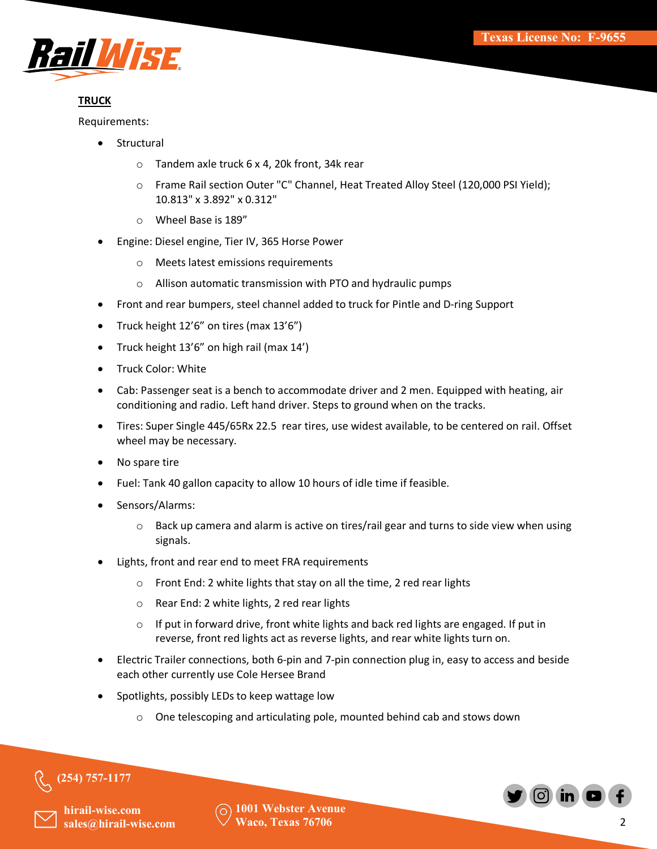

# **TRUCK**

Requirements:

- **Structural** 
	- o Tandem axle truck 6 x 4, 20k front, 34k rear
	- o Frame Rail section Outer "C" Channel, Heat Treated Alloy Steel (120,000 PSI Yield); 10.813" x 3.892" x 0.312"
	- o Wheel Base is 189"
- Engine: Diesel engine, Tier IV, 365 Horse Power
	- o Meets latest emissions requirements
	- o Allison automatic transmission with PTO and hydraulic pumps
- Front and rear bumpers, steel channel added to truck for Pintle and D-ring Support
- Truck height 12'6" on tires (max 13'6")
- Truck height 13'6" on high rail (max 14')
- Truck Color: White
- Cab: Passenger seat is a bench to accommodate driver and 2 men. Equipped with heating, air conditioning and radio. Left hand driver. Steps to ground when on the tracks.
- Tires: Super Single 445/65Rx 22.5 rear tires, use widest available, to be centered on rail. Offset wheel may be necessary.
- No spare tire
- Fuel: Tank 40 gallon capacity to allow 10 hours of idle time if feasible.
- Sensors/Alarms:
	- $\circ$  Back up camera and alarm is active on tires/rail gear and turns to side view when using signals.
- Lights, front and rear end to meet FRA requirements
	- o Front End: 2 white lights that stay on all the time, 2 red rear lights
	- o Rear End: 2 white lights, 2 red rear lights
	- $\circ$  If put in forward drive, front white lights and back red lights are engaged. If put in reverse, front red lights act as reverse lights, and rear white lights turn on.
- Electric Trailer connections, both 6-pin and 7-pin connection plug in, easy to access and beside each other currently use Cole Hersee Brand
- Spotlights, possibly LEDs to keep wattage low
	- o One telescoping and articulating pole, mounted behind cab and stows down



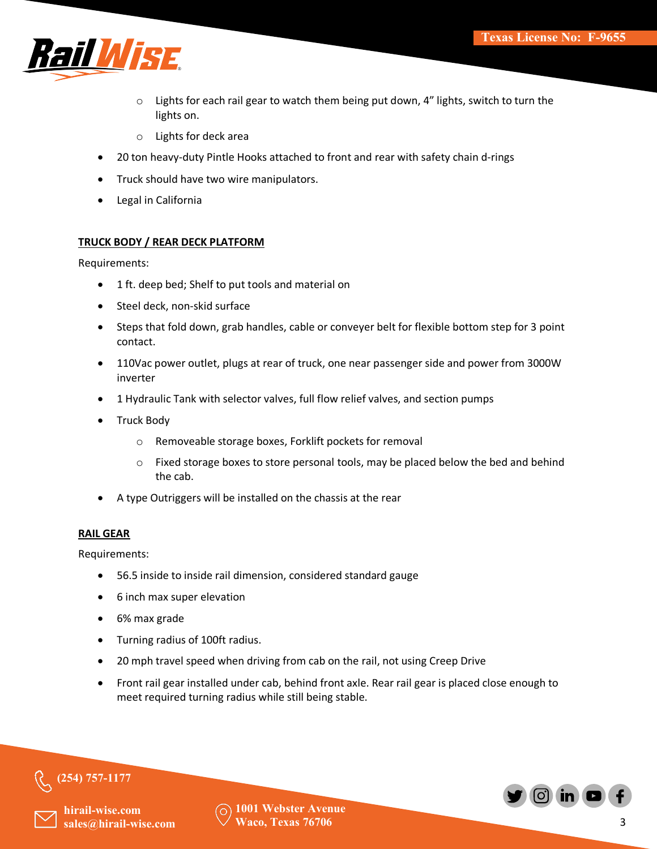

- $\circ$  Lights for each rail gear to watch them being put down, 4" lights, switch to turn the lights on.
- o Lights for deck area
- 20 ton heavy-duty Pintle Hooks attached to front and rear with safety chain d-rings
- Truck should have two wire manipulators.
- Legal in California

#### **TRUCK BODY / REAR DECK PLATFORM**

Requirements:

- 1 ft. deep bed; Shelf to put tools and material on
- Steel deck, non-skid surface
- Steps that fold down, grab handles, cable or conveyer belt for flexible bottom step for 3 point contact.
- 110Vac power outlet, plugs at rear of truck, one near passenger side and power from 3000W inverter
- 1 Hydraulic Tank with selector valves, full flow relief valves, and section pumps
- Truck Body
	- o Removeable storage boxes, Forklift pockets for removal
	- o Fixed storage boxes to store personal tools, may be placed below the bed and behind the cab.
- A type Outriggers will be installed on the chassis at the rear

#### **RAIL GEAR**

Requirements:

- 56.5 inside to inside rail dimension, considered standard gauge
- 6 inch max super elevation
- 6% max grade
- Turning radius of 100ft radius.
- 20 mph travel speed when driving from cab on the rail, not using Creep Drive
- Front rail gear installed under cab, behind front axle. Rear rail gear is placed close enough to meet required turning radius while still being stable.



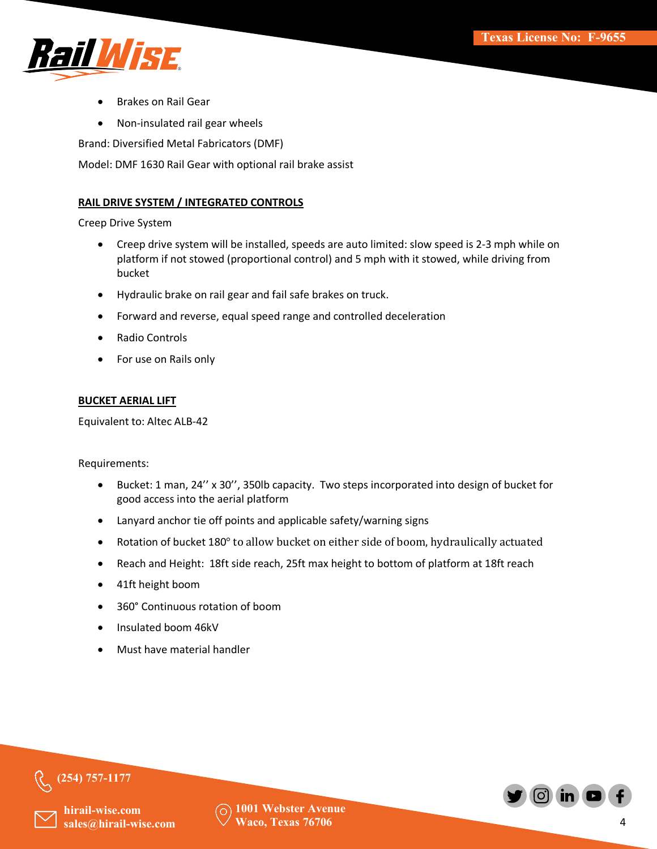

- Brakes on Rail Gear
- Non-insulated rail gear wheels

Brand: Diversified Metal Fabricators (DMF)

Model: DMF 1630 Rail Gear with optional rail brake assist

#### **RAIL DRIVE SYSTEM / INTEGRATED CONTROLS**

Creep Drive System

- Creep drive system will be installed, speeds are auto limited: slow speed is 2-3 mph while on platform if not stowed (proportional control) and 5 mph with it stowed, while driving from bucket
- Hydraulic brake on rail gear and fail safe brakes on truck.
- Forward and reverse, equal speed range and controlled deceleration
- Radio Controls
- For use on Rails only

#### **BUCKET AERIAL LIFT**

Equivalent to: Altec ALB-42

Requirements:

- Bucket: 1 man, 24'' x 30'', 350lb capacity. Two steps incorporated into design of bucket for good access into the aerial platform
- Lanyard anchor tie off points and applicable safety/warning signs
- Rotation of bucket 180° to allow bucket on either side of boom, hydraulically actuated
- Reach and Height: 18ft side reach, 25ft max height to bottom of platform at 18ft reach
- 41ft height boom
- 360° Continuous rotation of boom
- Insulated boom 46kV
- Must have material handler



**hirail-wise.com** sales@hirail-wise.com

**(254) 757-1177**

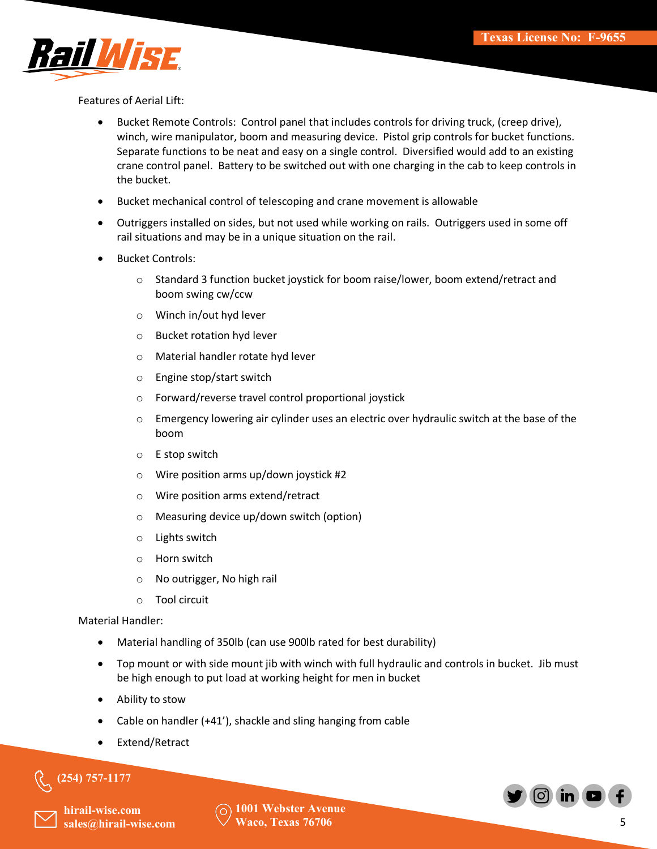

Features of Aerial Lift:

- Bucket Remote Controls: Control panel that includes controls for driving truck, (creep drive), winch, wire manipulator, boom and measuring device. Pistol grip controls for bucket functions. Separate functions to be neat and easy on a single control. Diversified would add to an existing crane control panel. Battery to be switched out with one charging in the cab to keep controls in the bucket.
- Bucket mechanical control of telescoping and crane movement is allowable
- Outriggers installed on sides, but not used while working on rails. Outriggers used in some off rail situations and may be in a unique situation on the rail.
- Bucket Controls:
	- o Standard 3 function bucket joystick for boom raise/lower, boom extend/retract and boom swing cw/ccw
	- o Winch in/out hyd lever
	- o Bucket rotation hyd lever
	- o Material handler rotate hyd lever
	- o Engine stop/start switch
	- o Forward/reverse travel control proportional joystick
	- o Emergency lowering air cylinder uses an electric over hydraulic switch at the base of the boom
	- o E stop switch
	- o Wire position arms up/down joystick #2
	- o Wire position arms extend/retract
	- o Measuring device up/down switch (option)
	- o Lights switch
	- o Horn switch
	- o No outrigger, No high rail
	- o Tool circuit

Material Handler:

- Material handling of 350lb (can use 900lb rated for best durability)
- Top mount or with side mount jib with winch with full hydraulic and controls in bucket. Jib must be high enough to put load at working height for men in bucket
- Ability to stow
- Cable on handler (+41'), shackle and sling hanging from cable
- Extend/Retract

# **(254) 757-1177**



**hirail-wise.com** sales@hirail-wise.com

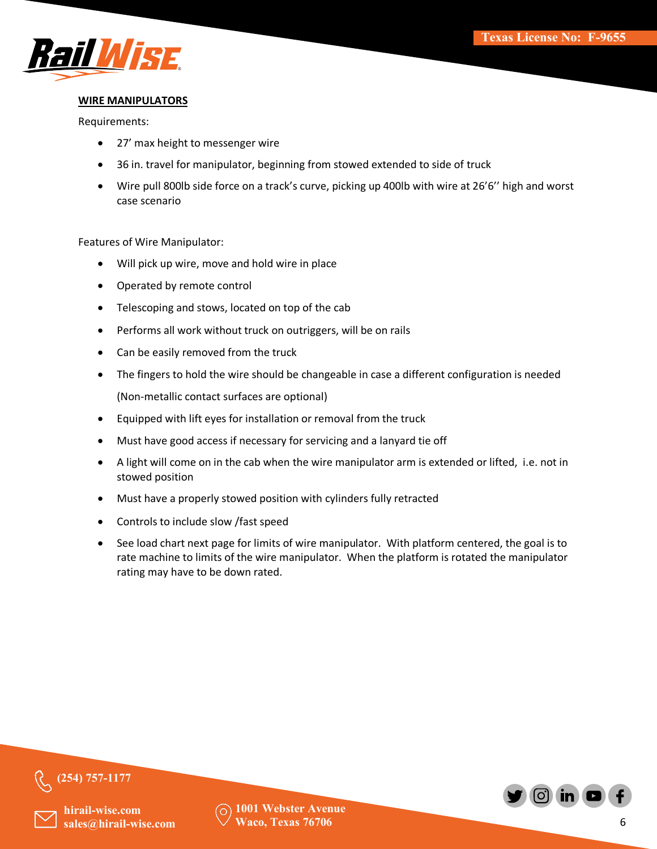

## **WIRE MANIPULATORS**

Requirements:

- 27' max height to messenger wire
- 36 in. travel for manipulator, beginning from stowed extended to side of truck
- Wire pull 800lb side force on a track's curve, picking up 400lb with wire at 26'6'' high and worst case scenario

Features of Wire Manipulator:

- Will pick up wire, move and hold wire in place
- Operated by remote control
- Telescoping and stows, located on top of the cab
- Performs all work without truck on outriggers, will be on rails
- Can be easily removed from the truck
- The fingers to hold the wire should be changeable in case a different configuration is needed (Non-metallic contact surfaces are optional)
- Equipped with lift eyes for installation or removal from the truck
- Must have good access if necessary for servicing and a lanyard tie off
- A light will come on in the cab when the wire manipulator arm is extended or lifted, i.e. not in stowed position
- Must have a properly stowed position with cylinders fully retracted
- Controls to include slow /fast speed
- See load chart next page for limits of wire manipulator. With platform centered, the goal is to rate machine to limits of the wire manipulator. When the platform is rotated the manipulator rating may have to be down rated.



**(254) 757-1177**